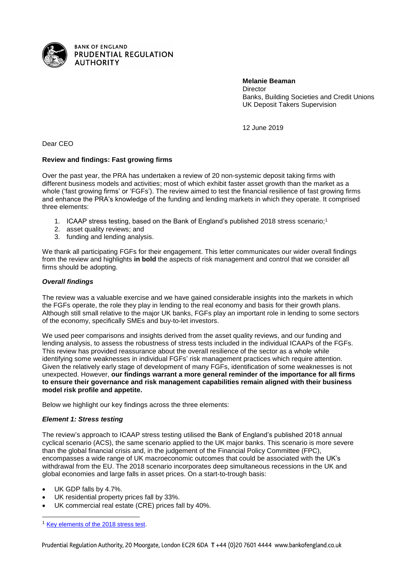

**Melanie Beaman Director** Banks, Building Societies and Credit Unions UK Deposit Takers Supervision

12 June 2019

Dear CEO

## **Review and findings: Fast growing firms**

Over the past year, the PRA has undertaken a review of 20 non-systemic deposit taking firms with different business models and activities; most of which exhibit faster asset growth than the market as a whole ('fast growing firms' or 'FGFs'). The review aimed to test the financial resilience of fast growing firms and enhance the PRA's knowledge of the funding and lending markets in which they operate. It comprised three elements:

- 1. ICAAP stress testing, based on the Bank of England's published 2018 stress scenario; 1
- 2. asset quality reviews; and
- 3. funding and lending analysis.

We thank all participating FGFs for their engagement. This letter communicates our wider overall findings from the review and highlights **in bold** the aspects of risk management and control that we consider all firms should be adopting.

# *Overall findings*

The review was a valuable exercise and we have gained considerable insights into the markets in which the FGFs operate, the role they play in lending to the real economy and basis for their growth plans. Although still small relative to the major UK banks, FGFs play an important role in lending to some sectors of the economy, specifically SMEs and buy-to-let investors.

We used peer comparisons and insights derived from the asset quality reviews, and our funding and lending analysis, to assess the robustness of stress tests included in the individual ICAAPs of the FGFs. This review has provided reassurance about the overall resilience of the sector as a whole while identifying some weaknesses in individual FGFs' risk management practices which require attention. Given the relatively early stage of development of many FGFs, identification of some weaknesses is not unexpected. However, **our findings warrant a more general reminder of the importance for all firms to ensure their governance and risk management capabilities remain aligned with their business model risk profile and appetite.**

Below we highlight our key findings across the three elements:

## *Element 1: Stress testing*

The review's approach to ICAAP stress testing utilised the Bank of England's published 2018 annual cyclical scenario (ACS), the same scenario applied to the UK major banks. This scenario is more severe than the global financial crisis and, in the judgement of the Financial Policy Committee (FPC), encompasses a wide range of UK macroeconomic outcomes that could be associated with the UK's withdrawal from the EU. The 2018 scenario incorporates deep simultaneous recessions in the UK and global economies and large falls in asset prices. On a start-to-trough basis:

UK GDP falls by 4.7%.

l

- UK residential property prices fall by 33%.
- UK commercial real estate (CRE) prices fall by 40%.

<sup>1</sup> [Key elements of the 2018 stress test.](https://www.bankofengland.co.uk/news/2018/march/key-elements-of-the-2018-stress-test)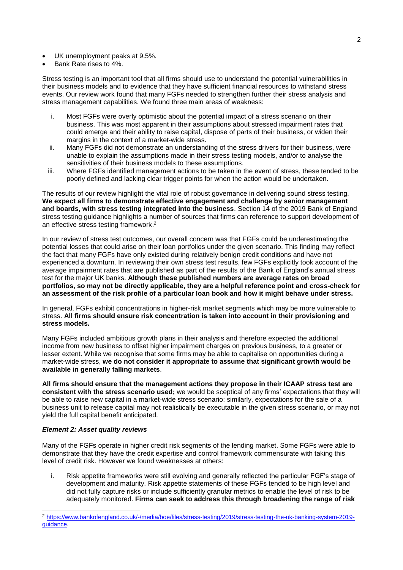- UK unemployment peaks at 9.5%.
- Bank Rate rises to 4%.

Stress testing is an important tool that all firms should use to understand the potential vulnerabilities in their business models and to evidence that they have sufficient financial resources to withstand stress events. Our review work found that many FGFs needed to strengthen further their stress analysis and stress management capabilities. We found three main areas of weakness:

- i. Most FGFs were overly optimistic about the potential impact of a stress scenario on their business. This was most apparent in their assumptions about stressed impairment rates that could emerge and their ability to raise capital, dispose of parts of their business, or widen their margins in the context of a market-wide stress.
- ii. Many FGFs did not demonstrate an understanding of the stress drivers for their business, were unable to explain the assumptions made in their stress testing models, and/or to analyse the sensitivities of their business models to these assumptions.
- iii. Where FGFs identified management actions to be taken in the event of stress, these tended to be poorly defined and lacking clear trigger points for when the action would be undertaken.

The results of our review highlight the vital role of robust governance in delivering sound stress testing. **We expect all firms to demonstrate effective engagement and challenge by senior management and boards, with stress testing integrated into the business**. Section 14 of the 2019 Bank of England stress testing guidance highlights a number of sources that firms can reference to support development of an effective stress testing framework. 2

In our review of stress test outcomes, our overall concern was that FGFs could be underestimating the potential losses that could arise on their loan portfolios under the given scenario. This finding may reflect the fact that many FGFs have only existed during relatively benign credit conditions and have not experienced a downturn. In reviewing their own stress test results, few FGFs explicitly took account of the average impairment rates that are published as part of the results of the Bank of England's annual stress test for the major UK banks. **Although these published numbers are average rates on broad portfolios, so may not be directly applicable, they are a helpful reference point and cross-check for an assessment of the risk profile of a particular loan book and how it might behave under stress.**

In general, FGFs exhibit concentrations in higher-risk market segments which may be more vulnerable to stress. **All firms should ensure risk concentration is taken into account in their provisioning and stress models.** 

Many FGFs included ambitious growth plans in their analysis and therefore expected the additional income from new business to offset higher impairment charges on previous business, to a greater or lesser extent. While we recognise that some firms may be able to capitalise on opportunities during a market-wide stress, **we do not consider it appropriate to assume that significant growth would be available in generally falling markets**.

**All firms should ensure that the management actions they propose in their ICAAP stress test are consistent with the stress scenario used;** we would be sceptical of any firms' expectations that they will be able to raise new capital in a market-wide stress scenario; similarly, expectations for the sale of a business unit to release capital may not realistically be executable in the given stress scenario, or may not yield the full capital benefit anticipated.

## *Element 2: Asset quality reviews*

l

Many of the FGFs operate in higher credit risk segments of the lending market. Some FGFs were able to demonstrate that they have the credit expertise and control framework commensurate with taking this level of credit risk. However we found weaknesses at others:

i. Risk appetite frameworks were still evolving and generally reflected the particular FGF's stage of development and maturity. Risk appetite statements of these FGFs tended to be high level and did not fully capture risks or include sufficiently granular metrics to enable the level of risk to be adequately monitored. **Firms can seek to address this through broadening the range of risk** 

<sup>2</sup> [https://www.bankofengland.co.uk/-/media/boe/files/stress-testing/2019/stress-testing-the-uk-banking-system-2019](https://www.bankofengland.co.uk/-/media/boe/files/stress-testing/2019/stress-testing-the-uk-banking-system-2019-guidance) quidance.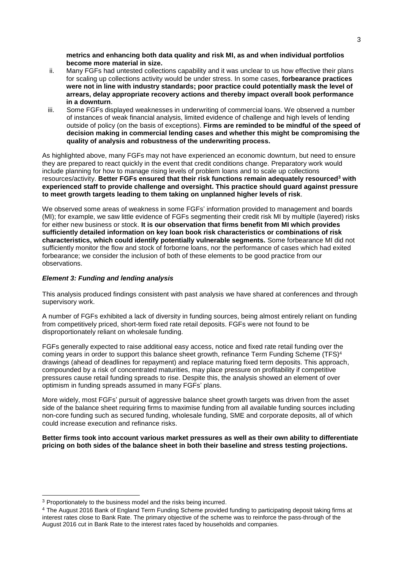**metrics and enhancing both data quality and risk MI, as and when individual portfolios become more material in size.**

- ii. Many FGFs had untested collections capability and it was unclear to us how effective their plans for scaling up collections activity would be under stress. In some cases, **forbearance practices were not in line with industry standards; poor practice could potentially mask the level of arrears, delay appropriate recovery actions and thereby impact overall book performance in a downturn**.
- iii. Some FGFs displayed weaknesses in underwriting of commercial loans. We observed a number of instances of weak financial analysis, limited evidence of challenge and high levels of lending outside of policy (on the basis of exceptions). **Firms are reminded to be mindful of the speed of decision making in commercial lending cases and whether this might be compromising the quality of analysis and robustness of the underwriting process.**

As highlighted above, many FGFs may not have experienced an economic downturn, but need to ensure they are prepared to react quickly in the event that credit conditions change. Preparatory work would include planning for how to manage rising levels of problem loans and to scale up collections resources/activity. **Better FGFs ensured that their risk functions remain adequately resourced<sup>3</sup> with experienced staff to provide challenge and oversight. This practice should guard against pressure to meet growth targets leading to them taking on unplanned higher levels of risk**.

We observed some areas of weakness in some FGFs' information provided to management and boards (MI); for example, we saw little evidence of FGFs segmenting their credit risk MI by multiple (layered) risks for either new business or stock. **It is our observation that firms benefit from MI which provides sufficiently detailed information on key loan book risk characteristics or combinations of risk characteristics, which could identify potentially vulnerable segments.** Some forbearance MI did not sufficiently monitor the flow and stock of forborne loans, nor the performance of cases which had exited forbearance; we consider the inclusion of both of these elements to be good practice from our observations.

#### *Element 3: Funding and lending analysis*

This analysis produced findings consistent with past analysis we have shared at conferences and through supervisory work.

A number of FGFs exhibited a lack of diversity in funding sources, being almost entirely reliant on funding from competitively priced, short-term fixed rate retail deposits. FGFs were not found to be disproportionately reliant on wholesale funding.

FGFs generally expected to raise additional easy access, notice and fixed rate retail funding over the coming years in order to support this balance sheet growth, refinance Term Funding Scheme (TFS) 4 drawings (ahead of deadlines for repayment) and replace maturing fixed term deposits. This approach, compounded by a risk of concentrated maturities, may place pressure on profitability if competitive pressures cause retail funding spreads to rise. Despite this, the analysis showed an element of over optimism in funding spreads assumed in many FGFs' plans.

More widely, most FGFs' pursuit of aggressive balance sheet growth targets was driven from the asset side of the balance sheet requiring firms to maximise funding from all available funding sources including non-core funding such as secured funding, wholesale funding, SME and corporate deposits, all of which could increase execution and refinance risks.

**Better firms took into account various market pressures as well as their own ability to differentiate pricing on both sides of the balance sheet in both their baseline and stress testing projections.**

l

<sup>&</sup>lt;sup>3</sup> Proportionately to the business model and the risks being incurred.

<sup>4</sup> The August 2016 Bank of England Term Funding Scheme provided funding to participating deposit taking firms at interest rates close to Bank Rate. The primary objective of the scheme was to reinforce the pass-through of the August 2016 cut in Bank Rate to the interest rates faced by households and companies.